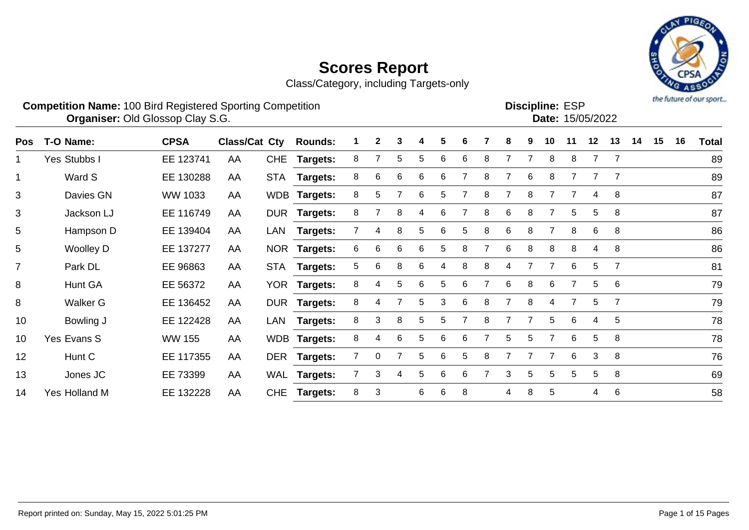Class/Category, including Targets-only



 $\overline{$  Date: 15/05/2022

| <b>Competition Name: 100 Bird Registered Sporting Competition</b> | <b>Discipline: ESP</b> |
|-------------------------------------------------------------------|------------------------|
| <b>Organiser: Old Glossop Clay S.G.</b>                           | <b>Date: 15/0</b>      |

| <b>Pos</b>     | T-O Name:        | <b>CPSA</b>    | <b>Class/Cat Cty</b> |            | <b>Rounds:</b>  |   | $\mathbf{2}$ | 3 |    | 5 | 6 |   | 8 | 9 | 10 | 11             | 12             | 13             | 14 | 15 | 16 | Total |
|----------------|------------------|----------------|----------------------|------------|-----------------|---|--------------|---|----|---|---|---|---|---|----|----------------|----------------|----------------|----|----|----|-------|
| 1              | Yes Stubbs I     | EE 123741      | AA                   | <b>CHE</b> | <b>Targets:</b> | 8 |              | 5 | 5. | 6 | 6 | 8 |   |   | 8  | 8              | $\overline{7}$ | $\overline{7}$ |    |    |    | 89    |
| 1              | Ward S           | EE 130288      | AA                   | STA        | <b>Targets:</b> | 8 | 6            | 6 | 6  | 6 |   | 8 |   | 6 | 8  |                | $\overline{7}$ | $\overline{7}$ |    |    |    | 89    |
| 3              | Davies GN        | <b>WW 1033</b> | AA                   |            | WDB Targets:    | 8 | 5            |   | 6  | 5 |   | 8 | 7 | 8 |    |                | 4              | 8              |    |    |    | 87    |
| 3              | Jackson LJ       | EE 116749      | AA                   |            | DUR Targets:    | 8 |              | 8 | 4  | 6 |   | 8 | 6 | 8 |    | 5              | 5              | 8              |    |    |    | 87    |
| 5              | Hampson D        | EE 139404      | AA                   | LAN        | <b>Targets:</b> |   | 4            | 8 | 5  | 6 | 5 | 8 | 6 | 8 | 7  | 8              | 6              | 8              |    |    |    | 86    |
| 5              | <b>Woolley D</b> | EE 137277      | AA                   |            | NOR Targets:    | 6 | 6            | 6 | 6  | 5 | 8 |   | 6 | 8 | 8  | 8              | 4              | 8              |    |    |    | 86    |
| $\overline{7}$ | Park DL          | EE 96863       | AA                   | <b>STA</b> | <b>Targets:</b> | 5 | 6            | 8 | 6  | 4 | 8 | 8 | 4 |   | 7  | 6              | 5              | $\overline{7}$ |    |    |    | 81    |
| 8              | Hunt GA          | EE 56372       | AA                   |            | YOR Targets:    | 8 | 4            | 5 | 6  | 5 | 6 |   | 6 | 8 | 6  |                | 5              | 6              |    |    |    | 79    |
| 8              | <b>Walker G</b>  | EE 136452      | AA                   |            | DUR Targets:    | 8 | 4            |   | 5. | 3 | 6 | 8 | 7 | 8 | 4  | $\overline{7}$ | 5              | $\overline{7}$ |    |    |    | 79    |
| 10             | Bowling J        | EE 122428      | AA                   | LAN        | <b>Targets:</b> | 8 | 3            | 8 | 5. | 5 |   | 8 | 7 |   | 5  | 6              | 4              | 5              |    |    |    | 78    |
| 10             | Yes Evans S      | <b>WW 155</b>  | AA                   |            | WDB Targets:    | 8 | 4            | 6 | 5  | 6 | 6 |   | 5 | 5 | 7  | 6              | 5              | 8              |    |    |    | 78    |
| 12             | Hunt C           | EE 117355      | AA                   |            | DER Targets:    |   | $\mathbf 0$  |   | 5. | 6 | 5 | 8 | 7 |   | 7  | 6              | 3              | 8              |    |    |    | 76    |
| 13             | Jones JC         | EE 73399       | AA                   |            | WAL Targets:    |   | 3            | 4 | 5  | 6 | 6 |   | 3 | 5 | 5  | 5              | 5              | 8              |    |    |    | 69    |
| 14             | Yes Holland M    | EE 132228      | AA                   | <b>CHE</b> | <b>Targets:</b> | 8 | 3            |   | 6  | 6 | 8 |   | 4 | 8 | 5  |                | 4              | 6              |    |    |    | 58    |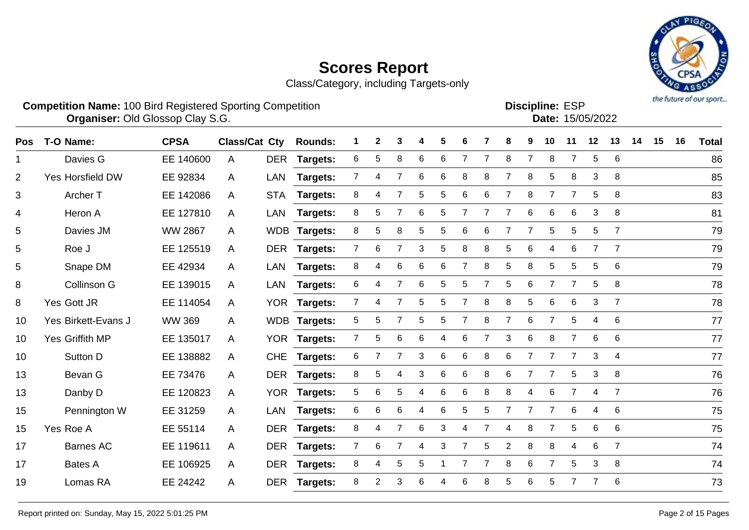Class/Category, including Targets-only



#### **Competition Name:** 100 Bird Registered Sporting Competition **EXP EXP Competition EXP Organiser:** Old Glossop Clay S.G. 15/05/2022

| <b>Discipline: ESP</b> |                  |
|------------------------|------------------|
|                        | Date: 15/05/2022 |
|                        |                  |

| <b>Pos</b>     | T-O Name:           | <b>CPSA</b>    | <b>Class/Cat Cty</b> |            | <b>Rounds:</b>  |                | 2     | 3              |   | 5           | 6              |   | 8              |                | 10             | 11             | 12             | 13              | 14 | 15 | 16 | <b>Total</b> |
|----------------|---------------------|----------------|----------------------|------------|-----------------|----------------|-------|----------------|---|-------------|----------------|---|----------------|----------------|----------------|----------------|----------------|-----------------|----|----|----|--------------|
| 1              | Davies G            | EE 140600      | A                    | <b>DER</b> | Targets:        | 6              | 5     | 8              | 6 | 6           | 7              |   | 8              | $\overline{7}$ | 8              | $\overline{7}$ | 5              | 6               |    |    |    | 86           |
| $\overline{2}$ | Yes Horsfield DW    | EE 92834       | A                    | LAN        | Targets:        | $\overline{7}$ | 4     | 7              | 6 | 6           | 8              | 8 | 7              | 8              | 5              | 8              | 3              | 8               |    |    |    | 85           |
| 3              | Archer T            | EE 142086      | A                    | <b>STA</b> | Targets:        | 8              | 4     |                | 5 | 5           | 6              | 6 | 7              | 8              | 7              | 7              | 5              | 8               |    |    |    | 83           |
| 4              | Heron A             | EE 127810      | A                    | <b>LAN</b> | Targets:        | 8              | 5     |                | 6 | 5           |                |   | 7              | 6              | 6              | 6              | 3              | 8               |    |    |    | 81           |
| 5              | Davies JM           | <b>WW 2867</b> | A                    |            | WDB Targets:    | 8              | 5     | 8              | 5 | $\,$ 5 $\,$ | 6              | 6 | $\overline{7}$ | $\overline{7}$ | $\sqrt{5}$     | 5              | $\sqrt{5}$     | $\overline{7}$  |    |    |    | 79           |
| 5              | Roe J               | EE 125519      | $\mathsf{A}$         | <b>DER</b> | <b>Targets:</b> | $\overline{7}$ | $\,6$ | $\overline{7}$ | 3 | $\sqrt{5}$  | 8              | 8 | 5              | 6              | 4              | 6              | $\overline{7}$ | $\overline{7}$  |    |    |    | 79           |
| 5              | Snape DM            | EE 42934       | A                    | <b>LAN</b> | <b>Targets:</b> | 8              | 4     | 6              | 6 | 6           |                | 8 | 5              | 8              | 5              | 5              | 5              | 6               |    |    |    | 79           |
| 8              | Collinson G         | EE 139015      | A                    | <b>LAN</b> | <b>Targets:</b> | 6              | 4     | $\overline{7}$ | 6 | 5           | 5              |   | 5              | 6              | $\overline{7}$ | $\overline{7}$ | 5              | 8               |    |    |    | 78           |
| 8              | Yes Gott JR         | EE 114054      | A                    |            | YOR Targets:    | $\mathbf{7}$   | 4     | 7              | 5 | 5           | $\overline{7}$ | 8 | 8              | 5              | 6              | 6              | 3              | $\overline{7}$  |    |    |    | 78           |
| 10             | Yes Birkett-Evans J | <b>WW 369</b>  | A                    | <b>WDB</b> | <b>Targets:</b> | 5              | 5     |                | 5 | 5           |                | 8 | $\overline{7}$ | 6              | $\overline{7}$ | 5              | 4              | $6\phantom{1}6$ |    |    |    | 77           |
| 10             | Yes Griffith MP     | EE 135017      | A                    | <b>YOR</b> | Targets:        | $\overline{7}$ | 5     | 6              | 6 | 4           | 6              | 7 | 3              | 6              | 8              | $\overline{7}$ | 6              | $6\phantom{1}6$ |    |    |    | 77           |
| 10             | Sutton D            | EE 138882      | A                    | <b>CHE</b> | Targets:        | 6              |       |                | 3 | 6           | 6              | 8 | 6              |                | 7              | $\overline{7}$ | 3              | 4               |    |    |    | 77           |
| 13             | Bevan G             | EE 73476       | A                    | <b>DER</b> | <b>Targets:</b> | 8              | 5     | 4              | 3 | 6           | 6              | 8 | 6              | $\overline{7}$ | $\overline{7}$ | 5              | $\mathbf{3}$   | 8               |    |    |    | 76           |
| 13             | Danby D             | EE 120823      | A                    | <b>YOR</b> | <b>Targets:</b> | 5              | 6     | 5              | 4 | 6           | 6              | 8 | 8              | 4              | 6              | $\overline{7}$ | 4              | $\overline{7}$  |    |    |    | 76           |
| 15             | Pennington W        | EE 31259       | A                    | <b>LAN</b> | Targets:        | 6              | 6     | 6              | 4 | 6           | 5              | 5 | 7              | 7              | $\overline{7}$ | 6              | 4              | 6               |    |    |    | 75           |
| 15             | Yes Roe A           | EE 55114       | A                    | <b>DER</b> | <b>Targets:</b> | 8              | 4     | 7              | 6 | 3           | 4              | 7 | 4              | 8              | 7              | 5              | 6              | 6               |    |    |    | 75           |
| 17             | <b>Barnes AC</b>    | EE 119611      | A                    | <b>DER</b> | <b>Targets:</b> | $7^{\circ}$    | 6     | 7              | 4 | 3           | 7              | 5 | $\overline{c}$ | 8              | 8              | 4              | 6              | $\overline{7}$  |    |    |    | 74           |
| 17             | <b>Bates A</b>      | EE 106925      | A                    | <b>DER</b> | <b>Targets:</b> | 8              | 4     | 5              | 5 |             |                |   | 8              | 6              | $\overline{7}$ | 5              | 3              | 8               |    |    |    | 74           |
| 19             | Lomas RA            | EE 24242       | A                    | <b>DER</b> | Targets:        | 8              | 2     | 3              | 6 | 4           | 6              | 8 | 5              | 6              | 5              | 7              |                | 6               |    |    |    | 73           |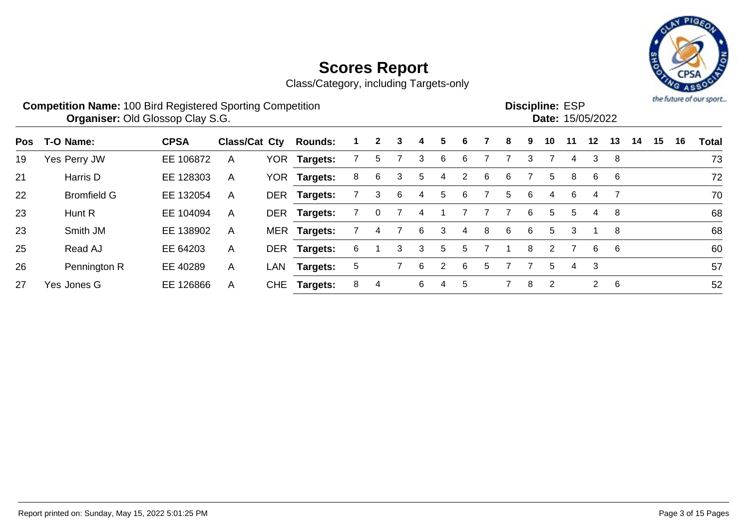

|     | <b>Competition Name: 100 Bird Registered Sporting Competition</b><br>Organiser: Old Glossop Clay S.G. |             |               |            |                 |   |              |   |   |    |    |   |    |   | <b>Discipline: ESP</b> |    | Date: 15/05/2022 |    |    |    |    | the future of our sport |
|-----|-------------------------------------------------------------------------------------------------------|-------------|---------------|------------|-----------------|---|--------------|---|---|----|----|---|----|---|------------------------|----|------------------|----|----|----|----|-------------------------|
| Pos | T-O Name:                                                                                             | <b>CPSA</b> | Class/Cat Cty |            | <b>Rounds:</b>  |   | $\mathbf{2}$ | 3 |   | 5. |    |   | 8  | 9 | 10                     | 11 | $12 \,$          | 13 | 14 | 15 | 16 | <b>Total</b>            |
| 19  | Yes Perry JW                                                                                          | EE 106872   | $\mathsf{A}$  | YOR.       | <b>Targets:</b> |   | 5            |   | 3 | 6  | 6. |   |    | 3 |                        | 4  | 3                | -8 |    |    |    | 73                      |
| 21  | Harris D                                                                                              | EE 128303   | $\mathsf{A}$  | <b>YOR</b> | <b>Targets:</b> | 8 | 6            | 3 | 5 | 4  |    | 6 | 6. |   | 5                      | 8  | 6                | -6 |    |    |    | 72                      |
| 22  | <b>Bromfield G</b>                                                                                    | EE 132054   | $\mathsf{A}$  | <b>DER</b> | Targets:        |   | 3            | 6 | 4 | 5  | 6. |   | 5. | 6 | 4                      | -6 | 4                |    |    |    |    | 70                      |
| 23  | Hunt R                                                                                                | EE 104094   | $\mathsf{A}$  |            | DER Targets:    |   |              |   |   |    |    |   |    | 6 | 5.                     | 5. | 4                | 8  |    |    |    | 68                      |
| 23  | Smith JM                                                                                              | EE 138902   | $\mathsf{A}$  |            | MER Targets:    |   | 4            |   | 6 | 3  | 4  | 8 | 6  | 6 | 5                      | 3  |                  | 8  |    |    |    | 68                      |
| 25  | Read AJ                                                                                               | EE 64203    | A             |            | DER Targets:    | 6 |              | 3 | 3 | 5  | 5  |   |    | 8 | $\mathcal{P}$          |    | 6                | -6 |    |    |    | 60                      |
| 26  | Pennington R                                                                                          | EE 40289    | A             | LAN        | <b>Targets:</b> | 5 |              |   | 6 | 2  | 6  | 5 |    |   | 5                      | 4  | 3                |    |    |    |    | 57                      |
| 27  | Yes Jones G                                                                                           | EE 126866   | A             | <b>CHE</b> | <b>Targets:</b> | 8 | 4            |   | 6 | 4  | 5  |   |    | 8 | 2                      |    | $\overline{2}$   | 6  |    |    |    | 52                      |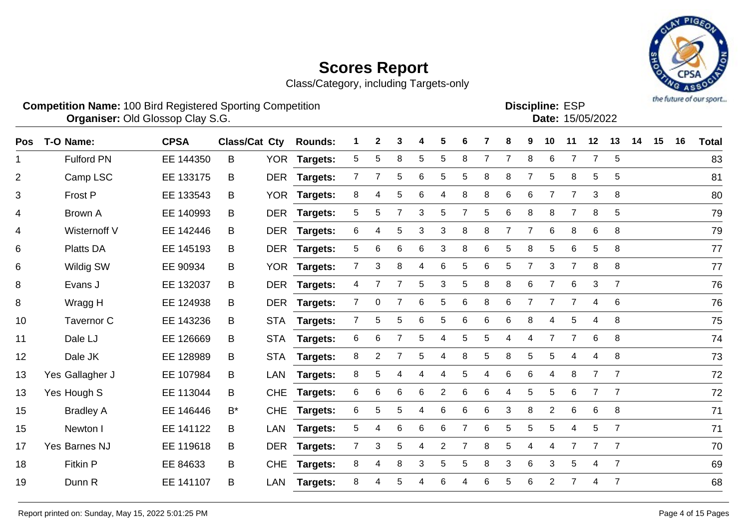Class/Category, including Targets-only



**Competition Name:** 100 Bird Registered Sporting Competition **EXP EXP Competition EXP Organiser:** Old Glossop Clay S.G. 15/05/2022

**Discipline:**

| ו∪∟ נטווועוטכ |                  |
|---------------|------------------|
|               | Date: 15/05/2022 |
|               |                  |

| $\overline{5}$<br>Fulford PN<br>5<br>5<br>8<br>5<br>5<br>8<br>$\overline{7}$<br>$\overline{7}$<br>8<br>6<br>$\overline{7}$<br>EE 144350<br>B<br>YOR Targets:<br>7<br>1<br>$\overline{2}$<br>5<br>6<br>5<br>8<br>8<br>7<br>8<br>5<br>5<br>Camp LSC<br>DER Targets:<br>$\overline{7}$<br>5<br>5<br>EE 133175<br>B<br>6<br>3<br>8<br>3<br>Frost P<br><b>YOR</b><br>8<br>5<br>6<br>8<br>8<br>6<br>$\overline{7}$<br>EE 133543<br>Targets:<br>4<br>В<br>4<br>3<br>$\,6$<br>8<br>8<br>4<br><b>Brown A</b><br>EE 140993<br><b>DER</b><br>5<br>5<br>5<br>5<br>8<br>$\overline{7}$<br>5<br>Targets:<br>B<br>6<br>5<br>3<br>3<br>8<br>8<br>$\overline{7}$<br>$\overline{7}$<br>6<br>8<br>6<br>8<br>Wisternoff V<br>EE 142446<br>DER Targets:<br>4<br>B<br>4<br>Platts DA<br>5<br>6<br>$6\phantom{1}6$<br>6<br>3<br>8<br>6<br>$\mathbf 5$<br>8<br>5<br>6<br>$\sqrt{5}$<br>8<br>6<br>EE 145193<br>DER Targets:<br>B<br>8<br>8<br>Wildig SW<br>$\overline{7}$<br>3<br>8<br>6<br>5<br>6<br>5<br>7<br>3<br>$\overline{7}$<br>6<br>EE 90934<br>YOR Targets:<br>B<br>4<br>8<br>Evans J<br>5<br>3<br>8<br>8<br>6<br>6<br>3<br>EE 132037<br>DER Targets:<br>5<br>$\overline{7}$<br>$\overline{7}$<br>B<br>4<br>6<br>8<br>$\,6$<br>6<br>8<br>$\mathbf 0$<br>5<br>6<br>7<br>$\overline{7}$<br>Wragg H<br>EE 124938<br>DER Targets:<br>$\overline{7}$<br>4<br>B<br>$\overline{7}$<br>5<br>6<br>5<br>6<br>6<br>6<br>8<br>5<br>8<br>5<br>Tavernor C<br>10<br>EE 143236<br><b>STA</b><br>Targets:<br>4<br>4<br>B<br>$\overline{7}$<br>6<br>8<br>Dale LJ<br>6<br>6<br>5<br>$\overline{7}$<br>11<br>EE 126669<br><b>STA</b><br>Targets:<br>5<br>5<br>4<br>4<br>B<br>4<br>Dale JK<br>8<br>2<br>5<br>8<br>5<br>8<br>5<br>8<br>12<br>EE 128989<br><b>STA</b><br><b>Targets:</b><br>4<br>5<br>4<br>B<br>4<br>5<br>6<br>6<br>Yes Gallagher J<br>8<br>8<br>7<br>7<br>EE 107984<br>B<br>LAN<br>Targets:<br>4<br>5<br>4<br>4<br>13<br>4<br>4<br>6<br>6<br>6<br>6<br>6<br>$\overline{2}$<br>$\,6$<br>5<br>5<br>6<br>$\overline{7}$<br>$\overline{7}$<br>Yes Hough S<br>4<br>EE 113044<br><b>CHE</b><br><b>Targets:</b><br>13<br>В<br>6<br>5<br>5<br>6<br>6<br>3<br>8<br>$\overline{2}$<br>6<br>6<br>8<br>15<br><b>Bradley A</b><br>EE 146446<br>$B^*$<br><b>CHE</b><br>6<br><b>Targets:</b><br>4<br>6<br>5<br>5<br>5<br>5<br>$\overline{7}$<br>5<br>6<br>6<br>6<br>$\overline{7}$<br>15<br>Newton I<br>EE 141122<br><b>LAN</b><br>Targets:<br>4<br>4<br>B<br>Yes Barnes NJ<br>EE 119618<br>DER Targets:<br>3<br>5<br>$\overline{c}$<br>8<br>5<br>17<br>B<br>$\overline{7}$<br>7<br>7<br>$\overline{7}$<br>$\overline{7}$<br>4<br>4<br>4<br>8<br>3<br>3<br>6<br>8<br>5<br>8<br>3<br>5<br>$\overline{7}$<br>18<br><b>Fitkin P</b><br>5<br>EE 84633<br><b>CHE</b><br><b>Targets:</b><br>4<br>4<br>B<br>6<br>$\overline{7}$<br>Dunn R<br>B<br>8<br>5<br>6<br>6<br>5<br>$\overline{2}$<br>7<br>19<br>EE 141107<br><b>LAN</b><br>Targets:<br>4<br>4 | <b>Pos</b> | T-O Name: | <b>CPSA</b> | <b>Class/Cat Cty</b> | <b>Rounds:</b> | 2 | 3 | 4 | 5 |  | 8 | 9 | 10 | 11 | 12 | 13 | 14 | 15 | 16 | <b>Total</b> |
|-----------------------------------------------------------------------------------------------------------------------------------------------------------------------------------------------------------------------------------------------------------------------------------------------------------------------------------------------------------------------------------------------------------------------------------------------------------------------------------------------------------------------------------------------------------------------------------------------------------------------------------------------------------------------------------------------------------------------------------------------------------------------------------------------------------------------------------------------------------------------------------------------------------------------------------------------------------------------------------------------------------------------------------------------------------------------------------------------------------------------------------------------------------------------------------------------------------------------------------------------------------------------------------------------------------------------------------------------------------------------------------------------------------------------------------------------------------------------------------------------------------------------------------------------------------------------------------------------------------------------------------------------------------------------------------------------------------------------------------------------------------------------------------------------------------------------------------------------------------------------------------------------------------------------------------------------------------------------------------------------------------------------------------------------------------------------------------------------------------------------------------------------------------------------------------------------------------------------------------------------------------------------------------------------------------------------------------------------------------------------------------------------------------------------------------------------------------------------------------------------------------------------------------------------------------------------------------------------------------------------------------------------------------------------------------------------------------------------------------------------------------------------------------------------------------------------------------------------------------------------------------------------------------|------------|-----------|-------------|----------------------|----------------|---|---|---|---|--|---|---|----|----|----|----|----|----|----|--------------|
|                                                                                                                                                                                                                                                                                                                                                                                                                                                                                                                                                                                                                                                                                                                                                                                                                                                                                                                                                                                                                                                                                                                                                                                                                                                                                                                                                                                                                                                                                                                                                                                                                                                                                                                                                                                                                                                                                                                                                                                                                                                                                                                                                                                                                                                                                                                                                                                                                                                                                                                                                                                                                                                                                                                                                                                                                                                                                                           |            |           |             |                      |                |   |   |   |   |  |   |   |    |    |    |    |    |    |    | 83           |
|                                                                                                                                                                                                                                                                                                                                                                                                                                                                                                                                                                                                                                                                                                                                                                                                                                                                                                                                                                                                                                                                                                                                                                                                                                                                                                                                                                                                                                                                                                                                                                                                                                                                                                                                                                                                                                                                                                                                                                                                                                                                                                                                                                                                                                                                                                                                                                                                                                                                                                                                                                                                                                                                                                                                                                                                                                                                                                           |            |           |             |                      |                |   |   |   |   |  |   |   |    |    |    |    |    |    |    | 81           |
|                                                                                                                                                                                                                                                                                                                                                                                                                                                                                                                                                                                                                                                                                                                                                                                                                                                                                                                                                                                                                                                                                                                                                                                                                                                                                                                                                                                                                                                                                                                                                                                                                                                                                                                                                                                                                                                                                                                                                                                                                                                                                                                                                                                                                                                                                                                                                                                                                                                                                                                                                                                                                                                                                                                                                                                                                                                                                                           |            |           |             |                      |                |   |   |   |   |  |   |   |    |    |    |    |    |    |    | 80           |
|                                                                                                                                                                                                                                                                                                                                                                                                                                                                                                                                                                                                                                                                                                                                                                                                                                                                                                                                                                                                                                                                                                                                                                                                                                                                                                                                                                                                                                                                                                                                                                                                                                                                                                                                                                                                                                                                                                                                                                                                                                                                                                                                                                                                                                                                                                                                                                                                                                                                                                                                                                                                                                                                                                                                                                                                                                                                                                           |            |           |             |                      |                |   |   |   |   |  |   |   |    |    |    |    |    |    |    | 79           |
|                                                                                                                                                                                                                                                                                                                                                                                                                                                                                                                                                                                                                                                                                                                                                                                                                                                                                                                                                                                                                                                                                                                                                                                                                                                                                                                                                                                                                                                                                                                                                                                                                                                                                                                                                                                                                                                                                                                                                                                                                                                                                                                                                                                                                                                                                                                                                                                                                                                                                                                                                                                                                                                                                                                                                                                                                                                                                                           |            |           |             |                      |                |   |   |   |   |  |   |   |    |    |    |    |    |    |    | 79           |
|                                                                                                                                                                                                                                                                                                                                                                                                                                                                                                                                                                                                                                                                                                                                                                                                                                                                                                                                                                                                                                                                                                                                                                                                                                                                                                                                                                                                                                                                                                                                                                                                                                                                                                                                                                                                                                                                                                                                                                                                                                                                                                                                                                                                                                                                                                                                                                                                                                                                                                                                                                                                                                                                                                                                                                                                                                                                                                           |            |           |             |                      |                |   |   |   |   |  |   |   |    |    |    |    |    |    |    | 77           |
|                                                                                                                                                                                                                                                                                                                                                                                                                                                                                                                                                                                                                                                                                                                                                                                                                                                                                                                                                                                                                                                                                                                                                                                                                                                                                                                                                                                                                                                                                                                                                                                                                                                                                                                                                                                                                                                                                                                                                                                                                                                                                                                                                                                                                                                                                                                                                                                                                                                                                                                                                                                                                                                                                                                                                                                                                                                                                                           |            |           |             |                      |                |   |   |   |   |  |   |   |    |    |    |    |    |    |    | 77           |
|                                                                                                                                                                                                                                                                                                                                                                                                                                                                                                                                                                                                                                                                                                                                                                                                                                                                                                                                                                                                                                                                                                                                                                                                                                                                                                                                                                                                                                                                                                                                                                                                                                                                                                                                                                                                                                                                                                                                                                                                                                                                                                                                                                                                                                                                                                                                                                                                                                                                                                                                                                                                                                                                                                                                                                                                                                                                                                           |            |           |             |                      |                |   |   |   |   |  |   |   |    |    |    |    |    |    |    | 76           |
|                                                                                                                                                                                                                                                                                                                                                                                                                                                                                                                                                                                                                                                                                                                                                                                                                                                                                                                                                                                                                                                                                                                                                                                                                                                                                                                                                                                                                                                                                                                                                                                                                                                                                                                                                                                                                                                                                                                                                                                                                                                                                                                                                                                                                                                                                                                                                                                                                                                                                                                                                                                                                                                                                                                                                                                                                                                                                                           |            |           |             |                      |                |   |   |   |   |  |   |   |    |    |    |    |    |    |    | 76           |
|                                                                                                                                                                                                                                                                                                                                                                                                                                                                                                                                                                                                                                                                                                                                                                                                                                                                                                                                                                                                                                                                                                                                                                                                                                                                                                                                                                                                                                                                                                                                                                                                                                                                                                                                                                                                                                                                                                                                                                                                                                                                                                                                                                                                                                                                                                                                                                                                                                                                                                                                                                                                                                                                                                                                                                                                                                                                                                           |            |           |             |                      |                |   |   |   |   |  |   |   |    |    |    |    |    |    |    | 75           |
|                                                                                                                                                                                                                                                                                                                                                                                                                                                                                                                                                                                                                                                                                                                                                                                                                                                                                                                                                                                                                                                                                                                                                                                                                                                                                                                                                                                                                                                                                                                                                                                                                                                                                                                                                                                                                                                                                                                                                                                                                                                                                                                                                                                                                                                                                                                                                                                                                                                                                                                                                                                                                                                                                                                                                                                                                                                                                                           |            |           |             |                      |                |   |   |   |   |  |   |   |    |    |    |    |    |    |    | 74           |
|                                                                                                                                                                                                                                                                                                                                                                                                                                                                                                                                                                                                                                                                                                                                                                                                                                                                                                                                                                                                                                                                                                                                                                                                                                                                                                                                                                                                                                                                                                                                                                                                                                                                                                                                                                                                                                                                                                                                                                                                                                                                                                                                                                                                                                                                                                                                                                                                                                                                                                                                                                                                                                                                                                                                                                                                                                                                                                           |            |           |             |                      |                |   |   |   |   |  |   |   |    |    |    |    |    |    |    | 73           |
|                                                                                                                                                                                                                                                                                                                                                                                                                                                                                                                                                                                                                                                                                                                                                                                                                                                                                                                                                                                                                                                                                                                                                                                                                                                                                                                                                                                                                                                                                                                                                                                                                                                                                                                                                                                                                                                                                                                                                                                                                                                                                                                                                                                                                                                                                                                                                                                                                                                                                                                                                                                                                                                                                                                                                                                                                                                                                                           |            |           |             |                      |                |   |   |   |   |  |   |   |    |    |    |    |    |    |    | 72           |
|                                                                                                                                                                                                                                                                                                                                                                                                                                                                                                                                                                                                                                                                                                                                                                                                                                                                                                                                                                                                                                                                                                                                                                                                                                                                                                                                                                                                                                                                                                                                                                                                                                                                                                                                                                                                                                                                                                                                                                                                                                                                                                                                                                                                                                                                                                                                                                                                                                                                                                                                                                                                                                                                                                                                                                                                                                                                                                           |            |           |             |                      |                |   |   |   |   |  |   |   |    |    |    |    |    |    |    | 72           |
|                                                                                                                                                                                                                                                                                                                                                                                                                                                                                                                                                                                                                                                                                                                                                                                                                                                                                                                                                                                                                                                                                                                                                                                                                                                                                                                                                                                                                                                                                                                                                                                                                                                                                                                                                                                                                                                                                                                                                                                                                                                                                                                                                                                                                                                                                                                                                                                                                                                                                                                                                                                                                                                                                                                                                                                                                                                                                                           |            |           |             |                      |                |   |   |   |   |  |   |   |    |    |    |    |    |    |    | 71           |
|                                                                                                                                                                                                                                                                                                                                                                                                                                                                                                                                                                                                                                                                                                                                                                                                                                                                                                                                                                                                                                                                                                                                                                                                                                                                                                                                                                                                                                                                                                                                                                                                                                                                                                                                                                                                                                                                                                                                                                                                                                                                                                                                                                                                                                                                                                                                                                                                                                                                                                                                                                                                                                                                                                                                                                                                                                                                                                           |            |           |             |                      |                |   |   |   |   |  |   |   |    |    |    |    |    |    |    | 71           |
|                                                                                                                                                                                                                                                                                                                                                                                                                                                                                                                                                                                                                                                                                                                                                                                                                                                                                                                                                                                                                                                                                                                                                                                                                                                                                                                                                                                                                                                                                                                                                                                                                                                                                                                                                                                                                                                                                                                                                                                                                                                                                                                                                                                                                                                                                                                                                                                                                                                                                                                                                                                                                                                                                                                                                                                                                                                                                                           |            |           |             |                      |                |   |   |   |   |  |   |   |    |    |    |    |    |    |    | 70           |
|                                                                                                                                                                                                                                                                                                                                                                                                                                                                                                                                                                                                                                                                                                                                                                                                                                                                                                                                                                                                                                                                                                                                                                                                                                                                                                                                                                                                                                                                                                                                                                                                                                                                                                                                                                                                                                                                                                                                                                                                                                                                                                                                                                                                                                                                                                                                                                                                                                                                                                                                                                                                                                                                                                                                                                                                                                                                                                           |            |           |             |                      |                |   |   |   |   |  |   |   |    |    |    |    |    |    |    | 69           |
|                                                                                                                                                                                                                                                                                                                                                                                                                                                                                                                                                                                                                                                                                                                                                                                                                                                                                                                                                                                                                                                                                                                                                                                                                                                                                                                                                                                                                                                                                                                                                                                                                                                                                                                                                                                                                                                                                                                                                                                                                                                                                                                                                                                                                                                                                                                                                                                                                                                                                                                                                                                                                                                                                                                                                                                                                                                                                                           |            |           |             |                      |                |   |   |   |   |  |   |   |    |    |    |    |    |    |    | 68           |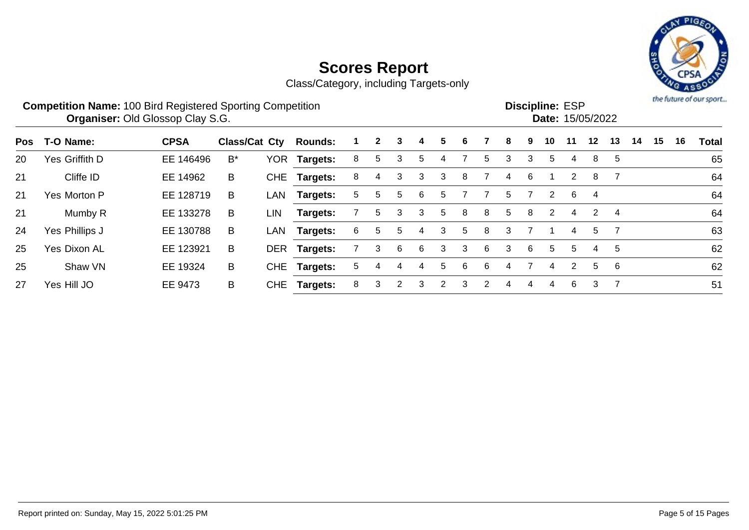

|     | <b>Competition Name: 100 Bird Registered Sporting Competition</b> | <b>Organiser: Old Glossop Clay S.G.</b> |                      |            |                 |    |              |   |    |   |   |   |    |   | <b>Discipline: ESP</b><br>Date: 15/05/2022 |               |    |    |    |    |    | the future of our sport |
|-----|-------------------------------------------------------------------|-----------------------------------------|----------------------|------------|-----------------|----|--------------|---|----|---|---|---|----|---|--------------------------------------------|---------------|----|----|----|----|----|-------------------------|
| Pos | T-O Name:                                                         | <b>CPSA</b>                             | <b>Class/Cat Cty</b> |            | <b>Rounds:</b>  |    | $\mathbf{2}$ | 3 |    | 5 | 6 |   | 8  | 9 | 10                                         | 11            | 12 | 13 | 14 | 15 | 16 | <b>Total</b>            |
| 20  | Yes Griffith D                                                    | EE 146496                               | $B^*$                | <b>YOR</b> | Targets:        | 8  | 5.           | 3 | b. | 4 |   | 5 | 3  | 3 | 5                                          | 4             | 8  | 5  |    |    |    | 65                      |
| 21  | Cliffe ID                                                         | EE 14962                                | B                    |            | CHE Targets:    | 8  | 4            | 3 | 3  | 3 | 8 |   | 4  | 6 |                                            | 2             | 8  |    |    |    |    | 64                      |
| 21  | Yes Morton P                                                      | EE 128719                               | B                    | LAN        | <b>Targets:</b> | 5. | 5.           | 5 | 6  | 5 |   |   | 5. |   | 2                                          | 6             | 4  |    |    |    |    | 64                      |
| 21  | Mumby R                                                           | EE 133278                               | B                    | LIN        | Targets:        |    | 5.           | 3 | 3  | 5 | 8 | 8 | 5. | 8 | 2                                          | 4             | 2  | 4  |    |    |    | 64                      |
| 24  | Yes Phillips J                                                    | EE 130788                               | B                    | LAN        | <b>Targets:</b> | 6  | 5            | 5 | 4  | 3 | 5 | 8 | 3  |   |                                            | 4             | 5  |    |    |    |    | 63                      |
| 25  | <b>Yes Dixon AL</b>                                               | EE 123921                               | B                    | <b>DER</b> | <b>Targets:</b> |    | 3            | 6 | 6  | 3 | 3 | 6 | 3  | 6 | 5                                          | 5             | 4  | 5  |    |    |    | 62                      |
| 25  | Shaw VN                                                           | EE 19324                                | B                    | CHE        | <b>Targets:</b> | 5. | 4            | 4 | 4  | 5 | 6 | 6 | 4  |   | 4                                          | $\mathcal{P}$ | 5  | -6 |    |    |    | 62                      |
| 27  | Yes Hill JO                                                       | EE 9473                                 | B                    | <b>CHE</b> | <b>Targets:</b> | 8  | 3            | 2 | 3  | 2 | 3 | 2 | 4  | 4 | 4                                          | 6             | 3  | 7  |    |    |    | 51                      |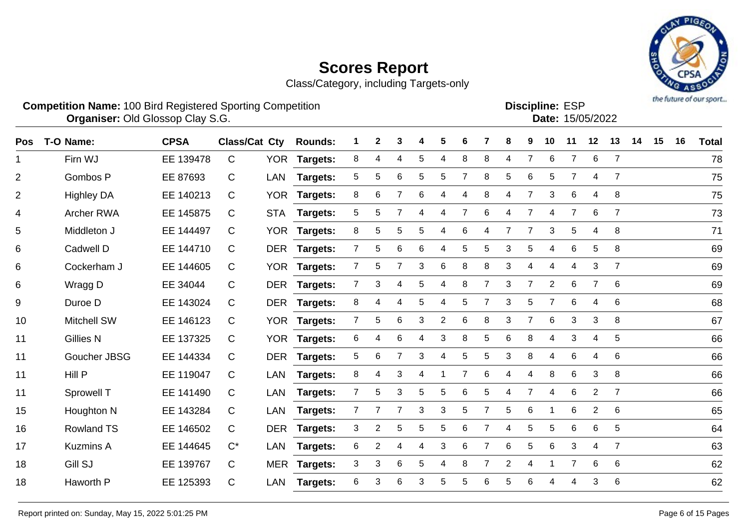Class/Category, including Targets-only



**Competition Name:** 100 Bird Registered Sporting Competition **EXP EXP Competition EXP Organiser:** Old Glossop Clay S.G. 15/05/2022

**Discipline:**

|  |    | -------------- | <b>Date: 15/05/2022</b> |  |     |
|--|----|----------------|-------------------------|--|-----|
|  | 8. |                | 9 10 11 12 13 14        |  | - 1 |
|  |    |                |                         |  |     |

| Pos            | T-O Name:          | <b>CPSA</b> | <b>Class/Cat Cty</b> |            | <b>Rounds:</b>  |   | $\mathbf{2}$ | 3              | 4 | 5              | 6 |                | 8              | 9              | 10             | 11             | 12             | 13              | 14 | 15 | 16 | <b>Total</b> |
|----------------|--------------------|-------------|----------------------|------------|-----------------|---|--------------|----------------|---|----------------|---|----------------|----------------|----------------|----------------|----------------|----------------|-----------------|----|----|----|--------------|
|                | Firn WJ            | EE 139478   | C                    | <b>YOR</b> | Targets:        | 8 | 4            | 4              | 5 | 4              | 8 | 8              | 4              | 7              | $\,6$          | 7              | 6              | $\overline{7}$  |    |    |    | 78           |
| $\overline{2}$ | Gombos P           | EE 87693    | C                    | <b>LAN</b> | Targets:        | 5 | 5            | 6              | 5 | 5              | 7 | 8              | 5              | 6              | 5              | $\overline{7}$ | 4              | $\overline{7}$  |    |    |    | 75           |
| 2              | <b>Highley DA</b>  | EE 140213   | C                    | <b>YOR</b> | Targets:        | 8 | 6            | 7              | 6 | 4              | 4 | 8              | 4              | $\overline{7}$ | 3              | 6              | 4              | 8               |    |    |    | 75           |
| 4              | Archer RWA         | EE 145875   | С                    | <b>STA</b> | <b>Targets:</b> | 5 | 5            | 7              | 4 | 4              | 7 | 6              | 4              | $\overline{7}$ | $\overline{4}$ | $\overline{7}$ | 6              | $\overline{7}$  |    |    |    | 73           |
| 5              | Middleton J        | EE 144497   | C                    | <b>YOR</b> | Targets:        | 8 | 5            | 5              | 5 | 4              | 6 | 4              | $\overline{7}$ |                | 3              | 5              | 4              | 8               |    |    |    | 71           |
| 6              | Cadwell D          | EE 144710   | C                    | <b>DER</b> | <b>Targets:</b> | 7 | 5            | 6              | 6 | 4              | 5 | 5              | 3              | 5              | $\overline{4}$ | 6              | 5              | 8               |    |    |    | 69           |
| 6              | Cockerham J        | EE 144605   | C                    | <b>YOR</b> | <b>Targets:</b> | 7 | 5            | 7              | 3 | 6              | 8 | 8              | 3              | 4              | 4              | 4              | 3              | 7               |    |    |    | 69           |
| 6              | Wragg D            | EE 34044    | C                    | <b>DER</b> | Targets:        | 7 | 3            | 4              | 5 | 4              | 8 |                | 3              | 7              | $\overline{2}$ | 6              |                | $6\phantom{1}6$ |    |    |    | 69           |
| 9              | Duroe D            | EE 143024   | С                    | <b>DER</b> | Targets:        | 8 |              | 4              | 5 | 4              | 5 |                | 3              | 5              | 7              | 6              | 4              | 6               |    |    |    | 68           |
| 10             | <b>Mitchell SW</b> | EE 146123   | C                    | <b>YOR</b> | Targets:        | 7 | 5            | $\,6$          | 3 | $\overline{2}$ | 6 | 8              | 3              | $\overline{7}$ | $\,6$          | 3              | 3              | 8               |    |    |    | 67           |
| 11             | <b>Gillies N</b>   | EE 137325   | C                    |            | YOR Targets:    | 6 | 4            | 6              | 4 | 3              | 8 | 5              | 6              | 8              | $\overline{4}$ | 3              | 4              | 5               |    |    |    | 66           |
| 11             | Goucher JBSG       | EE 144334   | С                    | <b>DER</b> | <b>Targets:</b> | 5 | 6            | $\overline{7}$ | 3 | 4              | 5 | 5              | 3              | 8              | $\overline{4}$ | 6              | 4              | 6               |    |    |    | 66           |
| 11             | Hill P             | EE 119047   | С                    | LAN        | <b>Targets:</b> | 8 | 4            | 3              | 4 |                | 7 | 6              | 4              | 4              | 8              | 6              | 3              | 8               |    |    |    | 66           |
| 11             | Sprowell T         | EE 141490   | С                    | LAN        | Targets:        | 7 | 5            | 3              | 5 | 5              | 6 | 5              | 4              | 7              | 4              | 6              | $\overline{2}$ | $\overline{7}$  |    |    |    | 66           |
| 15             | Houghton N         | EE 143284   | C                    | LAN        | Targets:        | 7 | 7            | $\overline{7}$ | 3 | 3              | 5 | $\overline{7}$ | 5              | 6              |                | 6              | $\overline{2}$ | 6               |    |    |    | 65           |
| 16             | <b>Rowland TS</b>  | EE 146502   | С                    | <b>DER</b> | Targets:        | 3 | 2            | 5              | 5 | 5              | 6 |                | 4              | 5              | 5              | 6              | 6              | 5               |    |    |    | 64           |
| 17             | <b>Kuzmins A</b>   | EE 144645   | $C^*$                | LAN        | Targets:        | 6 | 2            | 4              | 4 | 3              | 6 |                | 6              | 5              | 6              | 3              | 4              | $\overline{7}$  |    |    |    | 63           |
| 18             | Gill SJ            | EE 139767   | C                    | <b>MER</b> | Targets:        | 3 | 3            | 6              | 5 | 4              | 8 |                | 2              | 4              |                | $\overline{7}$ | 6              | 6               |    |    |    | 62           |
| 18             | Haworth P          | EE 125393   | C                    | LAN        | Targets:        | 6 | 3            | $\,6$          | 3 | 5              | 5 | 6              | 5              | 6              | 4              | 4              | 3              | 6               |    |    |    | 62           |
|                |                    |             |                      |            |                 |   |              |                |   |                |   |                |                |                |                |                |                |                 |    |    |    |              |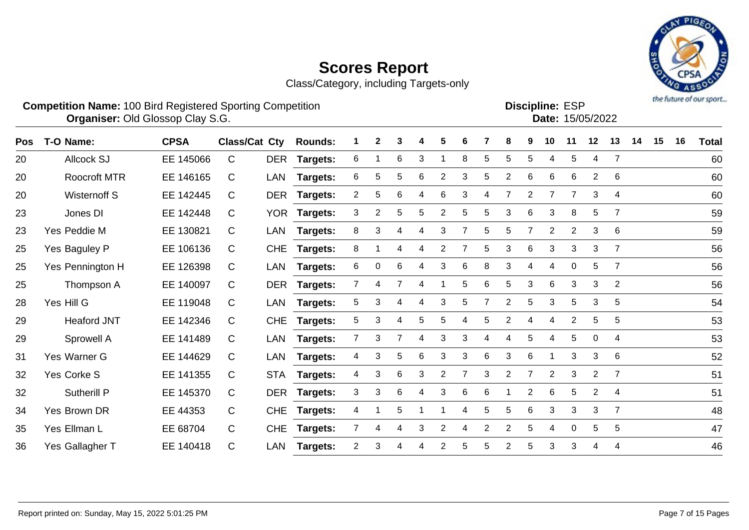Class/Category, including Targets-only



#### **Competition Name:** 100 Bird Registered Sporting Competition **EXP EXP Competition EXP Organiser:** Old Glossop Clay S.G. 15/05/2022

**Discipline:**

| וט∟ ⊾טוווועוטכי |                  |
|-----------------|------------------|
|                 | Date: 15/05/2022 |
|                 |                  |

| <b>Pos</b> | T-O Name:           | <b>CPSA</b> | <b>Class/Cat Cty</b> |            | <b>Rounds:</b>  |                | 2              |   |   | 5              | 6              |                | 8              | 9              | 10             | 11             | 12             | 13             | 14 | 15 | 16 | Total |
|------------|---------------------|-------------|----------------------|------------|-----------------|----------------|----------------|---|---|----------------|----------------|----------------|----------------|----------------|----------------|----------------|----------------|----------------|----|----|----|-------|
| 20         | <b>Allcock SJ</b>   | EE 145066   | C                    | DER        | <b>Targets:</b> | 6              |                | 6 | 3 |                | 8              | 5.             | 5              | 5              | 4              | 5              | 4              | 7              |    |    |    | 60    |
| 20         | <b>Roocroft MTR</b> | EE 146165   | C                    | LAN        | Targets:        | 6              | 5              | 5 | 6 | $\overline{2}$ | 3              | 5.             | $\overline{c}$ | 6              | 6              | 6              | $\overline{2}$ | 6              |    |    |    | 60    |
| 20         | Wisternoff S        | EE 142445   | C                    |            | DER Targets:    | $\overline{2}$ | 5              | 6 | 4 | 6              | 3              | 4              | $\overline{7}$ | $\overline{2}$ | $\overline{7}$ | $\overline{7}$ | 3              | 4              |    |    |    | 60    |
| 23         | Jones DI            | EE 142448   | C                    |            | YOR Targets:    | 3              | $\overline{2}$ | 5 | 5 | 2              | 5              | 5.             | 3              | 6              | 3              | 8              | 5              | $\overline{7}$ |    |    |    | 59    |
| 23         | Yes Peddie M        | EE 130821   | C                    | LAN        | Targets:        | 8              | 3              | 4 | 4 | 3              |                | 5.             | 5              | $\overline{7}$ | $\overline{2}$ | $\overline{2}$ | 3              | 6              |    |    |    | 59    |
| 25         | Yes Baguley P       | EE 106136   | C                    | <b>CHE</b> | Targets:        | 8              |                | 4 | 4 | 2              |                | 5              | 3              | 6              | 3              | 3              | 3              | $\overline{7}$ |    |    |    | 56    |
| 25         | Yes Pennington H    | EE 126398   | C                    | LAN        | <b>Targets:</b> | 6              | 0              | 6 |   | 3              | 6              | 8              | 3              | 4              | 4              | 0              | 5              | $\overline{7}$ |    |    |    | 56    |
| 25         | Thompson A          | EE 140097   | C                    | <b>DER</b> | Targets:        | 7              | 4              |   | 4 |                | 5              | 6              | 5              | 3              | 6              | 3              | 3              | 2              |    |    |    | 56    |
| 28         | Yes Hill G          | EE 119048   | C                    | LAN        | <b>Targets:</b> | 5              | 3              | 4 | 4 | 3              | 5              |                | $\overline{2}$ | 5              | 3              | 5              | 3              | 5              |    |    |    | 54    |
| 29         | <b>Heaford JNT</b>  | EE 142346   | C                    | <b>CHE</b> | Targets:        | 5              | 3              | 4 | 5 | 5              | 4              | 5.             | $\overline{c}$ | 4              | 4              | $\overline{2}$ | 5              | 5              |    |    |    | 53    |
| 29         | Sprowell A          | EE 141489   | C                    | LAN        | Targets:        | $\overline{7}$ | 3              | 7 | 4 | 3              | 3              | 4              | 4              | 5              | 4              | 5              | $\overline{0}$ | 4              |    |    |    | 53    |
| 31         | Yes Warner G        | EE 144629   | C                    | LAN        | <b>Targets:</b> | 4              | 3              | 5 | 6 | 3              | 3              | 6              | 3              | 6              |                | 3              | 3              | 6              |    |    |    | 52    |
| 32         | Yes Corke S         | EE 141355   | C                    | <b>STA</b> | Targets:        | 4              | 3              | 6 | 3 | 2              | $\overline{7}$ | 3              | $\overline{2}$ | $\overline{7}$ | $\overline{2}$ | 3              | 2              | $\overline{7}$ |    |    |    | 51    |
| 32         | Sutherill P         | EE 145370   | C                    |            | DER Targets:    | 3              | 3              | 6 | 4 | 3              | 6              | 6              |                | $\overline{2}$ | 6              | 5              | $\overline{2}$ | $\overline{4}$ |    |    |    | 51    |
| 34         | Yes Brown DR        | EE 44353    | C                    | <b>CHE</b> | Targets:        | 4              |                | 5 |   |                | 4              | 5.             | 5              | 6              | 3              | 3              | 3              | $\overline{7}$ |    |    |    | 48    |
| 35         | Yes Ellman L        | EE 68704    | C                    | <b>CHE</b> | Targets:        |                | 4              | 4 | 3 | $\overline{2}$ | 4              | $\overline{2}$ | 2              | 5              | 4              | 0              | 5              | 5              |    |    |    | 47    |
| 36         | Yes Gallagher T     | EE 140418   | C                    | LAN        | Targets:        | 2              | 3              |   |   | 2              | 5              | 5              | $\overline{2}$ | 5              | 3              | 3              |                | $\overline{4}$ |    |    |    | 46    |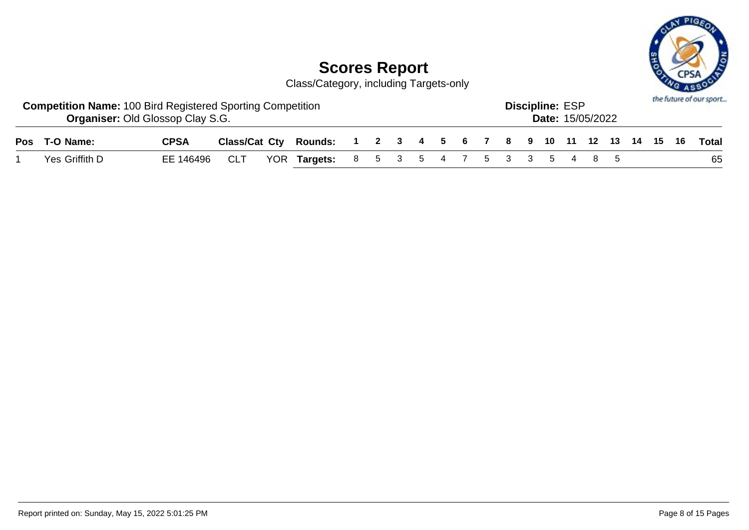

| <b>Competition Name: 100 Bird Registered Sporting Competition</b><br><b>Organiser: Old Glossop Clay S.G.</b> |             |     |                                                                    |  |  |  |  | <b>Discipline: ESP</b> | <b>Date: 15/05/2022</b> |  |  | the future of our sport |
|--------------------------------------------------------------------------------------------------------------|-------------|-----|--------------------------------------------------------------------|--|--|--|--|------------------------|-------------------------|--|--|-------------------------|
| Pos T-O Name:                                                                                                | <b>CPSA</b> |     | Class/Cat Cty Rounds: 1 2 3 4 5 6 7 8 9 10 11 12 13 14 15 16 Total |  |  |  |  |                        |                         |  |  |                         |
| Yes Griffith D                                                                                               | EE 146496   | CLT | YOR Targets: 8 5 3 5 4 7 5 3 3 5 4 8 5                             |  |  |  |  |                        |                         |  |  | 65                      |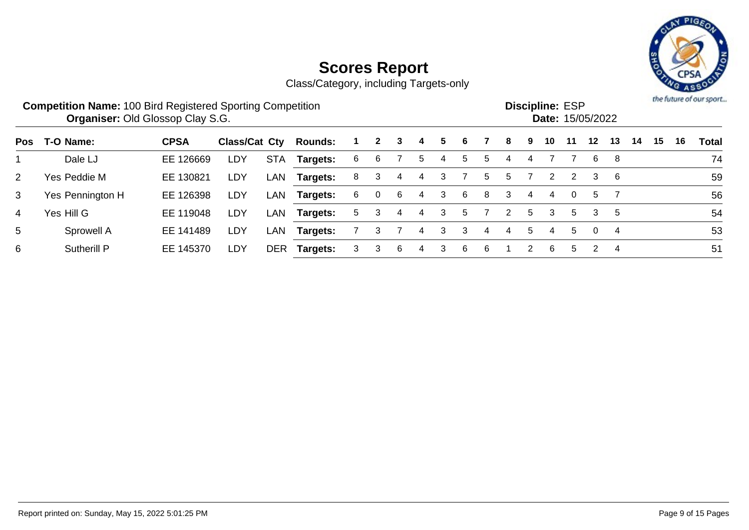# PIG

# **Scores Report**

|                | <b>Competition Name: 100 Bird Registered Sporting Competition</b><br><b>Organiser: Old Glossop Clay S.G.</b> |             |               |            |                |    |                |   |    |   |   |            |                      |   |    | <b>Discipline: ESP</b><br>Date: 15/05/2022 |          |    |    |    |    | the future of our sport. |
|----------------|--------------------------------------------------------------------------------------------------------------|-------------|---------------|------------|----------------|----|----------------|---|----|---|---|------------|----------------------|---|----|--------------------------------------------|----------|----|----|----|----|--------------------------|
| Pos            | T-O Name:                                                                                                    | <b>CPSA</b> | Class/Cat Cty |            | <b>Rounds:</b> |    | $\mathbf{2}$   | 3 | 4  | 5 | 6 |            | 8                    | 9 | 10 | 11                                         | $12 \,$  | 13 | 14 | 15 | 16 | <b>Total</b>             |
|                | Dale LJ                                                                                                      | EE 126669   | LDY           | <b>STA</b> | Targets:       | 6  | 6              |   | 5  | 4 | 5 | 5          | 4                    | 4 |    |                                            | 6        | 8  |    |    |    | 74                       |
| $\overline{2}$ | Yes Peddie M                                                                                                 | EE 130821   | LDY           | LAN        | Targets:       | 8  | 3              | 4 | -4 | 3 |   | $^{\rm b}$ | 5.                   |   | 2  | 2                                          | 3        | 6  |    |    |    | 59                       |
| 3              | Yes Pennington H                                                                                             | EE 126398   | LDY           | LAN        | Targets:       | 6. | $\overline{0}$ | 6 | 4  | 3 | 6 | 8          | 3                    | 4 | 4  | $\Omega$                                   | 5        |    |    |    |    | 56                       |
| 4              | Yes Hill G                                                                                                   | EE 119048   | LDY           | LAN        | Targets:       | 5. | 3              | 4 | 4  | 3 | 5 |            | $\mathbf{2}^{\circ}$ | 5 | 3  | 5                                          | 3        | 5  |    |    |    | 54                       |
| 5              | Sprowell A                                                                                                   | EE 141489   | LDY           | LAN        | Targets:       |    | 3              |   | 4  | 3 | 3 | 4          | 4                    | 5 | 4  | 5                                          | $\Omega$ | 4  |    |    |    | 53                       |
| 6              | <b>Sutherill P</b>                                                                                           | EE 145370   | LDY           | <b>DER</b> | Targets:       | 3  | 3              | 6 | 4  | 3 | 6 | 6          |                      |   | 6  | 5                                          | 2        | 4  |    |    |    | 51                       |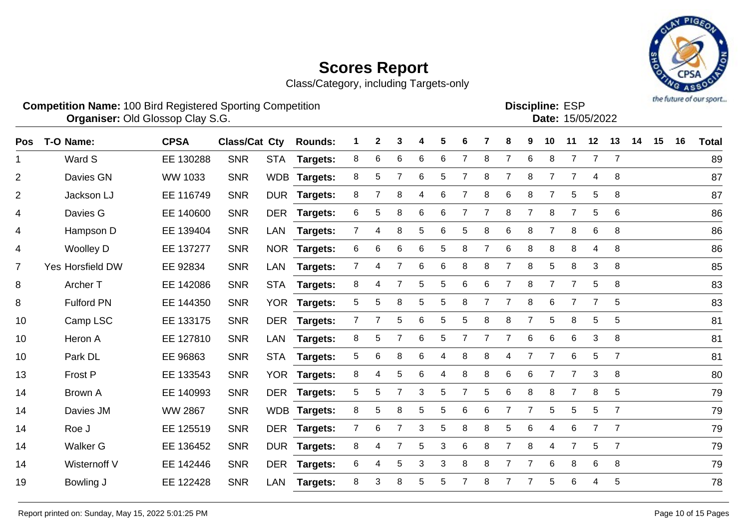Class/Category, including Targets-only



Date: 15/05/2022

| <b>Competition Name: 100 Bird Registered Sporting Competition</b> | <b>Discipline: ESP</b> |
|-------------------------------------------------------------------|------------------------|
| <b>Organiser: Old Glossop Clay S.G.</b>                           | <b>Date: 15/0</b>      |
|                                                                   |                        |

| <b>Pos</b>     | T-O Name:         | <b>CPSA</b>    | <b>Class/Cat Cty</b> |            | <b>Rounds:</b>  | 1              | $\mathbf{2}$   | 3              | 4 | 5 | 6              |                | 8              | 9              | 10             | 11             | 12             | 13              | 14 | 15 | 16 | <b>Total</b> |
|----------------|-------------------|----------------|----------------------|------------|-----------------|----------------|----------------|----------------|---|---|----------------|----------------|----------------|----------------|----------------|----------------|----------------|-----------------|----|----|----|--------------|
| $\mathbf{1}$   | Ward S            | EE 130288      | <b>SNR</b>           | <b>STA</b> | Targets:        | 8              | 6              | 6              | 6 | 6 | 7              | 8              | $\overline{7}$ | 6              | 8              | $\overline{7}$ | $\overline{7}$ | $\overline{7}$  |    |    |    | 89           |
| $\overline{2}$ | Davies GN         | WW 1033        | <b>SNR</b>           | <b>WDB</b> | Targets:        | 8              | 5              | $\overline{7}$ | 6 | 5 | 7              | 8              | 7              | 8              | $\overline{7}$ | $\overline{7}$ | 4              | 8               |    |    |    | 87           |
| $\overline{2}$ | Jackson LJ        | EE 116749      | <b>SNR</b>           |            | DUR Targets:    | 8              | $\overline{7}$ | 8              | 4 | 6 | 7              | 8              | 6              | 8              | 7              | 5              | 5              | 8               |    |    |    | 87           |
| 4              | Davies G          | EE 140600      | <b>SNR</b>           |            | DER Targets:    | 6              | 5              | 8              | 6 | 6 | 7              |                | 8              | $\overline{7}$ | 8              | $\overline{7}$ | 5              | $6\phantom{1}6$ |    |    |    | 86           |
| 4              | Hampson D         | EE 139404      | <b>SNR</b>           | LAN        | Targets:        | $\overline{7}$ | 4              | 8              | 5 | 6 | 5              | 8              | 6              | 8              |                | 8              | 6              | 8               |    |    |    | 86           |
| 4              | <b>Woolley D</b>  | EE 137277      | <b>SNR</b>           | <b>NOR</b> | <b>Targets:</b> | 6              | 6              | $\,6$          | 6 | 5 | 8              | $\overline{7}$ | 6              | 8              | 8              | 8              | 4              | 8               |    |    |    | 86           |
| $\overline{7}$ | Yes Horsfield DW  | EE 92834       | <b>SNR</b>           | LAN        | Targets:        | $\mathbf{7}$   | 4              | $\overline{7}$ | 6 | 6 | 8              | 8              | $\overline{7}$ | 8              | 5              | 8              | 3              | 8               |    |    |    | 85           |
| 8              | Archer T          | EE 142086      | <b>SNR</b>           | <b>STA</b> | Targets:        | 8              | 4              | 7              | 5 | 5 | 6              | 6              | $\overline{7}$ | 8              | $\overline{7}$ | $\overline{7}$ | 5              | 8               |    |    |    | 83           |
| 8              | <b>Fulford PN</b> | EE 144350      | <b>SNR</b>           | <b>YOR</b> | <b>Targets:</b> | 5              | 5              | 8              | 5 | 5 | 8              | $\overline{7}$ | $\overline{7}$ | 8              | 6              | $\overline{7}$ |                | 5               |    |    |    | 83           |
| 10             | Camp LSC          | EE 133175      | <b>SNR</b>           | <b>DER</b> | <b>Targets:</b> | 7              |                | 5              | 6 | 5 | 5              | 8              | 8              |                | 5              | 8              | 5              | 5               |    |    |    | 81           |
| 10             | Heron A           | EE 127810      | <b>SNR</b>           | LAN        | Targets:        | 8              | 5              | $\overline{7}$ | 6 | 5 | $\overline{7}$ | $\overline{7}$ | $\overline{7}$ | $\,6$          | $\,6\,$        | 6              | 3              | 8               |    |    |    | 81           |
| 10             | Park DL           | EE 96863       | <b>SNR</b>           | <b>STA</b> | Targets:        | 5              | 6              | 8              | 6 | 4 | 8              | 8              | 4              |                | $\overline{7}$ | 6              | 5              | $\overline{7}$  |    |    |    | 81           |
| 13             | Frost P           | EE 133543      | <b>SNR</b>           | <b>YOR</b> | <b>Targets:</b> | 8              | 4              | 5              | 6 | 4 | 8              | 8              | 6              | 6              | $\overline{7}$ | $\overline{7}$ | 3              | 8               |    |    |    | 80           |
| 14             | Brown A           | EE 140993      | <b>SNR</b>           | <b>DER</b> | Targets:        | 5              | 5              | $\overline{7}$ | 3 | 5 | 7              | 5              | 6              | 8              | 8              | $\overline{7}$ | 8              | $\sqrt{5}$      |    |    |    | 79           |
| 14             | Davies JM         | <b>WW 2867</b> | <b>SNR</b>           |            | WDB Targets:    | 8              | 5              | 8              | 5 | 5 | 6              | 6              | $\overline{7}$ | $\overline{7}$ | 5              | 5              | 5              | $\overline{7}$  |    |    |    | 79           |
| 14             | Roe J             | EE 125519      | <b>SNR</b>           |            | DER Targets:    | $7^{\circ}$    | 6              | $\overline{7}$ | 3 | 5 | 8              | 8              | $\mathbf 5$    | 6              | 4              | 6              | $\overline{7}$ | $\overline{7}$  |    |    |    | 79           |
| 14             | <b>Walker G</b>   | EE 136452      | <b>SNR</b>           | <b>DUR</b> | <b>Targets:</b> | 8              | 4              | $\overline{7}$ | 5 | 3 | 6              | 8              | $\overline{7}$ | 8              | 4              | $\overline{7}$ | 5              | $\overline{7}$  |    |    |    | 79           |
| 14             | Wisternoff V      | EE 142446      | <b>SNR</b>           | DER        | <b>Targets:</b> | 6              | 4              | 5              | 3 | 3 | 8              | 8              | 7              | 7              | 6              | 8              | 6              | 8               |    |    |    | 79           |
| 19             | Bowling J         | EE 122428      | <b>SNR</b>           | LAN        | Targets:        | 8              | 3              | 8              | 5 | 5 |                | 8              | 7              | 7              | 5              | 6              | 4              | 5               |    |    |    | 78           |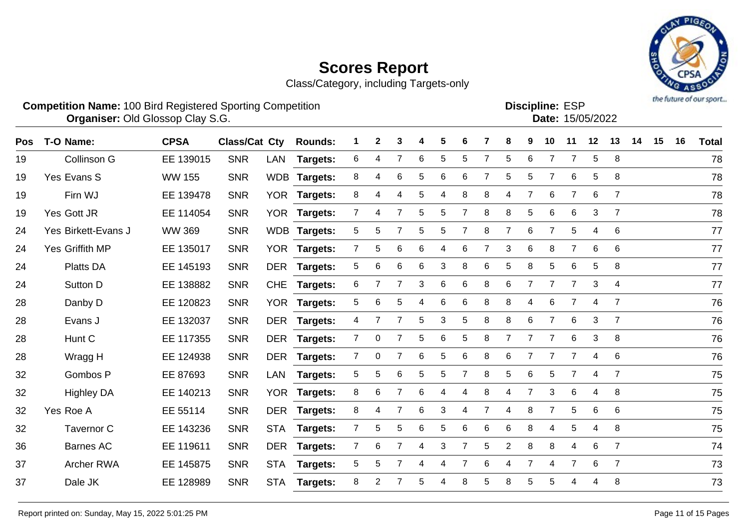

|    | <b>Competition Name: 100 Bird Registered Sporting Competition</b> | <b>Organiser: Old Glossop Clay S.G.</b> |            |                                                           |                           |  |  |  |  | <b>Discipline: ESP</b> | Date: 15/05/2022          |  |     | <b><i>THE UNITE OF ONE SPOTT</i></b> |
|----|-------------------------------------------------------------------|-----------------------------------------|------------|-----------------------------------------------------------|---------------------------|--|--|--|--|------------------------|---------------------------|--|-----|--------------------------------------|
|    | Pos T-O Name:                                                     | <b>CPSA</b>                             |            | Class/Cat Cty Rounds: 1 2 3 4 5 6 7 8 9 10 11 12 13 14 15 |                           |  |  |  |  |                        |                           |  | -16 | <b>Total</b>                         |
| 19 | Collinson G                                                       | EE 139015                               | <b>SNR</b> | LAN Targets: 6 4 7 6 5 5 7 5 6 7 7 5 8                    |                           |  |  |  |  |                        |                           |  |     | 78                                   |
| 19 | Yes Evans S                                                       | WW 155                                  | <b>SNR</b> | WDB Targets:                                              | 8 4 6 5 6 6 7 5 5 7 6 5 8 |  |  |  |  |                        |                           |  |     | 78                                   |
| 19 | Firn WJ                                                           | EE 139478                               | <b>SNR</b> | YOR Targets:                                              |                           |  |  |  |  |                        | 8 4 4 5 4 8 8 4 7 6 7 6 7 |  |     | 78                                   |
|    |                                                                   |                                         |            |                                                           |                           |  |  |  |  |                        |                           |  |     |                                      |

| 19 | Collinson G         | EE 139015     | <b>SNR</b> | LAN        | Targets:        | 6              |                |                 | 6 | 5 | 5 |   | 5              | 6              |                |                | 5 | 8              | 78 |
|----|---------------------|---------------|------------|------------|-----------------|----------------|----------------|-----------------|---|---|---|---|----------------|----------------|----------------|----------------|---|----------------|----|
| 19 | Yes Evans S         | <b>WW 155</b> | <b>SNR</b> |            | WDB Targets:    | 8              | 4              | 6               | 5 | 6 | 6 |   | 5              | 5              |                | 6              | 5 | 8              | 78 |
| 19 | Firn WJ             | EE 139478     | <b>SNR</b> | <b>YOR</b> | <b>Targets:</b> | 8              | 4              | 4               | 5 | 4 | 8 | 8 | 4              | 7              | 6              | $\overline{7}$ | 6 | 7              | 78 |
| 19 | Yes Gott JR         | EE 114054     | <b>SNR</b> | <b>YOR</b> | <b>Targets:</b> |                | 4              | 7               | 5 | 5 |   | 8 | 8              | 5              | 6              | 6              | 3 | 7              | 78 |
| 24 | Yes Birkett-Evans J | <b>WW 369</b> | <b>SNR</b> |            | WDB Targets:    | 5              | 5              |                 | 5 | 5 |   | 8 |                | 6              |                | 5              | 4 | 6              | 77 |
| 24 | Yes Griffith MP     | EE 135017     | <b>SNR</b> | <b>YOR</b> | <b>Targets:</b> | $\overline{7}$ | 5              | $6\phantom{1}6$ | 6 | 4 | 6 |   | 3              | $6\phantom{1}$ | 8              | $\overline{7}$ | 6 | 6              | 77 |
| 24 | <b>Platts DA</b>    | EE 145193     | <b>SNR</b> | <b>DER</b> | Targets:        | 5              | 6              | 6               | 6 | 3 | 8 | 6 | 5              | 8              | 5              | 6              | 5 | 8              | 77 |
| 24 | Sutton D            | EE 138882     | <b>SNR</b> | <b>CHE</b> | <b>Targets:</b> | 6              | 7              | $\overline{7}$  | 3 | 6 | 6 | 8 | 6              | $\overline{7}$ | 7              | $\overline{7}$ | 3 | 4              | 77 |
| 28 | Danby D             | EE 120823     | <b>SNR</b> | YOR        | <b>Targets:</b> | 5              | 6              | 5               | 4 | 6 | 6 | 8 | 8              | 4              | 6              |                | 4 | 7              | 76 |
| 28 | Evans J             | EE 132037     | <b>SNR</b> | <b>DER</b> | <b>Targets:</b> | 4              | 7              | 7               | 5 | 3 | 5 | 8 | 8              | 6              | 7              | 6              | 3 | $\overline{7}$ | 76 |
| 28 | Hunt C              | EE 117355     | <b>SNR</b> | <b>DER</b> | Targets:        |                | 0              |                 | 5 | 6 | 5 | 8 |                |                | $\overline{7}$ | 6              | 3 | 8              | 76 |
| 28 | Wragg H             | EE 124938     | <b>SNR</b> | <b>DER</b> | <b>Targets:</b> |                | 0              |                 | 6 | 5 | 6 | 8 | 6              |                |                |                | 4 | 6              | 76 |
| 32 | Gombos P            | EE 87693      | <b>SNR</b> | <b>LAN</b> | <b>Targets:</b> | 5              | 5              | 6               | 5 | 5 |   | 8 | 5              | 6              | 5              |                | 4 | $\overline{7}$ | 75 |
| 32 | <b>Highley DA</b>   | EE 140213     | <b>SNR</b> | <b>YOR</b> | Targets:        | 8              | 6              |                 | 6 | 4 | 4 | 8 | 4              |                | 3              | 6              | 4 | 8              | 75 |
| 32 | Yes Roe A           | EE 55114      | <b>SNR</b> | <b>DER</b> | Targets:        | 8              | 4              |                 | 6 | 3 | 4 |   |                | 8              | 7              | 5              | 6 | 6              | 75 |
| 32 | Tavernor C          | EE 143236     | <b>SNR</b> | <b>STA</b> | <b>Targets:</b> |                | 5              | 5               | 6 | 5 | 6 | 6 | 6              | 8              | 4              | 5              | 4 | 8              | 75 |
| 36 | <b>Barnes AC</b>    | EE 119611     | <b>SNR</b> | <b>DER</b> | Targets:        |                | 6              |                 | 4 | 3 |   | 5 | $\overline{2}$ | 8              | 8              | 4              | 6 | 7              | 74 |
| 37 | <b>Archer RWA</b>   | EE 145875     | <b>SNR</b> | <b>STA</b> | <b>Targets:</b> | 5              | 5              |                 | 4 | 4 |   | 6 | 4              | 7              | 4              |                | 6 | $\overline{7}$ | 73 |
| 37 | Dale JK             | EE 128989     | <b>SNR</b> | <b>STA</b> | Targets:        | 8              | $\overline{2}$ |                 | 5 | 4 | 8 | 5 | 8              | 5              | 5              | 4              | 4 | 8              | 73 |
|    |                     |               |            |            |                 |                |                |                 |   |   |   |   |                |                |                |                |   |                |    |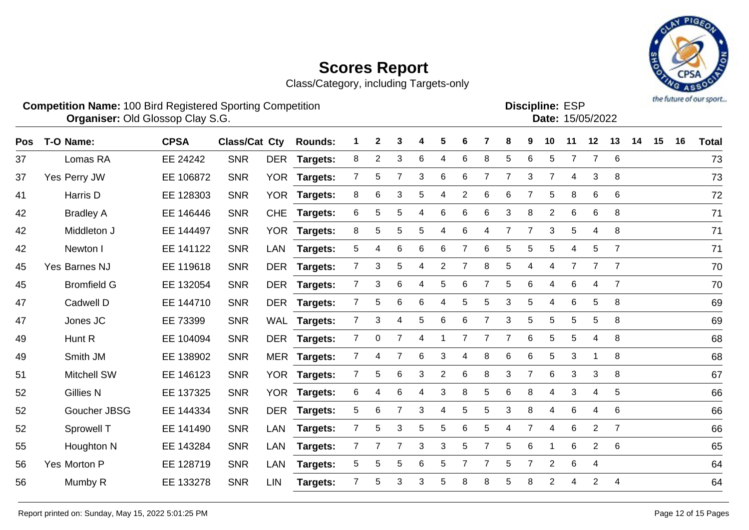

|    | <b>Competition Name: 100 Bird Registered Sporting Competition</b> | <b>Organiser: Old Glossop Clay S.G.</b> |            |     |                              |                |                            |                   |   |         |  |    |   |       | <b>Discipline: ESP</b> | Date: 15/05/2022 |    |      |    |    | <b>Distribution of Alberta Months</b> |
|----|-------------------------------------------------------------------|-----------------------------------------|------------|-----|------------------------------|----------------|----------------------------|-------------------|---|---------|--|----|---|-------|------------------------|------------------|----|------|----|----|---------------------------------------|
|    | Pos T-O Name:                                                     | <b>CPSA</b>                             |            |     | <b>Class/Cat Cty Rounds:</b> | $\blacksquare$ | $\mathbf{2}$               | 3                 |   | 4 5 6 7 |  | 8  | 9 | 10    | -11                    | 12               | 13 | - 14 | 15 | 16 | <b>Total</b>                          |
| 37 | Lomas RA                                                          | EE 24242                                | <b>SNR</b> |     | DER Targets:                 | 8              | $\overline{\phantom{a}}$ 2 | $\mathbf{3}$      | 6 | 4 6 8   |  |    |   | 5 6 5 |                        |                  |    |      |    |    | 73                                    |
| 37 | Yes Perry JW                                                      | EE 106872                               | <b>SNR</b> |     | YOR Targets:                 | $\overline{7}$ |                            | 5 7 3 6 6 7 7 3 7 |   |         |  |    |   |       |                        | 4 3 8            |    |      |    |    | 73                                    |
| 41 | Harris D                                                          | EE 128303                               | <b>SNR</b> | YOR | Targets:                     | 8 <sup>1</sup> |                            | 6 3 5 4 2 6       |   |         |  | -6 |   |       | 58                     |                  | 66 |      |    |    | 72                                    |
| 42 | <b>Bradley A</b>                                                  | FF 146446                               | <b>SNR</b> |     | CHF Targets:                 |                |                            | 655466638266      |   |         |  |    |   |       |                        |                  |    |      |    |    | 71                                    |

| 37 | Lomas RA           | EE 24242  | <b>SNR</b> | <b>DER</b> | <b>Targets:</b> | 8              | $\overline{2}$ | 3              | 6 | 4              | 6 | 8 | 5              | 6              | 5              | 7           | $\overline{7}$ | 6              | 73 |
|----|--------------------|-----------|------------|------------|-----------------|----------------|----------------|----------------|---|----------------|---|---|----------------|----------------|----------------|-------------|----------------|----------------|----|
| 37 | Yes Perry JW       | EE 106872 | <b>SNR</b> | <b>YOR</b> | <b>Targets:</b> | $\overline{7}$ | 5              | $\overline{7}$ | 3 | 6              | 6 |   | $\overline{7}$ | 3              | $\overline{7}$ | 4           | 3              | 8              | 73 |
| 41 | Harris D           | EE 128303 | <b>SNR</b> | <b>YOR</b> | <b>Targets:</b> | 8              | 6              | 3              | 5 | 4              | 2 | 6 | 6              |                | 5              | 8           | 6              | 6              | 72 |
| 42 | <b>Bradley A</b>   | EE 146446 | <b>SNR</b> | <b>CHE</b> | <b>Targets:</b> | 6              | 5              | 5              | 4 | 6              | 6 | 6 | 3              | 8              | $\overline{2}$ | 6           | 6              | 8              | 71 |
| 42 | Middleton J        | EE 144497 | <b>SNR</b> | <b>YOR</b> | <b>Targets:</b> | 8              | 5              | 5              | 5 | 4              | 6 |   | 7              | $\overline{7}$ | 3              | 5           | 4              | 8              | 71 |
| 42 | Newton I           | EE 141122 | <b>SNR</b> | LAN        | <b>Targets:</b> | 5              | 4              | 6              | 6 | 6              |   | 6 | 5              | 5              | 5              | 4           | 5              | 7              | 71 |
| 45 | Yes Barnes NJ      | EE 119618 | <b>SNR</b> | <b>DER</b> | Targets:        | 7              | 3              | 5              | 4 | $\overline{2}$ |   | 8 | 5              | 4              | 4              |             |                | 7              | 70 |
| 45 | <b>Bromfield G</b> | EE 132054 | <b>SNR</b> |            | DER Targets:    | $\overline{7}$ | 3              | 6              | 4 | 5              | 6 |   | 5              | 6              | 4              | 6           | 4              | $\overline{7}$ | 70 |
| 47 | Cadwell D          | EE 144710 | <b>SNR</b> |            | DER Targets:    | $\overline{7}$ | 5              | 6              | 6 | 4              | 5 | 5 | 3              | 5              | 4              | 6           | 5              | 8              | 69 |
| 47 | Jones JC           | EE 73399  | <b>SNR</b> |            | WAL Targets:    | $\overline{7}$ | 3              | 4              | 5 | 6              | 6 | 7 | $\mathfrak{S}$ | $\sqrt{5}$     | 5              | $\mathbf 5$ | 5              | 8              | 69 |
| 49 | Hunt R             | EE 104094 | <b>SNR</b> | DER        | <b>Targets:</b> | $\overline{7}$ | 0              | 7              | 4 | 1              | 7 |   | $\overline{7}$ | 6              | 5              | 5           | 4              | 8              | 68 |
| 49 | Smith JM           | EE 138902 | <b>SNR</b> |            | MER Targets:    | $\overline{7}$ | 4              | $\overline{7}$ | 6 | 3              | 4 | 8 | 6              | 6              | 5              | 3           |                | 8              | 68 |
| 51 | Mitchell SW        | EE 146123 | <b>SNR</b> |            | YOR Targets:    | $\overline{7}$ | 5              | 6              | 3 | $\overline{2}$ | 6 | 8 | 3              | 7              | 6              | 3           | 3              | 8              | 67 |
| 52 | <b>Gillies N</b>   | EE 137325 | <b>SNR</b> | <b>YOR</b> | <b>Targets:</b> | 6              | 4              | 6              | 4 | 3              | 8 | 5 | 6              | 8              | 4              | 3           | 4              | $\sqrt{5}$     | 66 |
| 52 | Goucher JBSG       | EE 144334 | <b>SNR</b> | <b>DER</b> | Targets:        | 5              | 6              | 7              | 3 | 4              | 5 | 5 | 3              | 8              | 4              | 6           | 4              | 6              | 66 |
| 52 | Sprowell T         | EE 141490 | <b>SNR</b> | LAN        | <b>Targets:</b> | 7 <sup>1</sup> | 5              | 3              | 5 | 5              | 6 | 5 | 4              | 7              | 4              | 6           | $\overline{2}$ | $\overline{7}$ | 66 |
| 55 | Houghton N         | EE 143284 | <b>SNR</b> | LAN        | <b>Targets:</b> | $\mathbf{7}$   | 7              | 7              | 3 | 3              | 5 |   | $\mathbf 5$    | 6              |                | 6           | $\overline{2}$ | 6              | 65 |
| 56 | Yes Morton P       | EE 128719 | <b>SNR</b> | LAN        | <b>Targets:</b> | 5              | 5              | 5              | 6 | 5              |   |   | 5              | 7              | $\overline{2}$ | 6           | 4              |                | 64 |
| 56 | Mumby R            | EE 133278 | <b>SNR</b> | <b>LIN</b> | Targets:        | $7^{\circ}$    | 5              | 3              | 3 | 5              | 8 | 8 | 5              | 8              | 2              | 4           | $\overline{2}$ | 4              | 64 |
|    |                    |           |            |            |                 |                |                |                |   |                |   |   |                |                |                |             |                |                |    |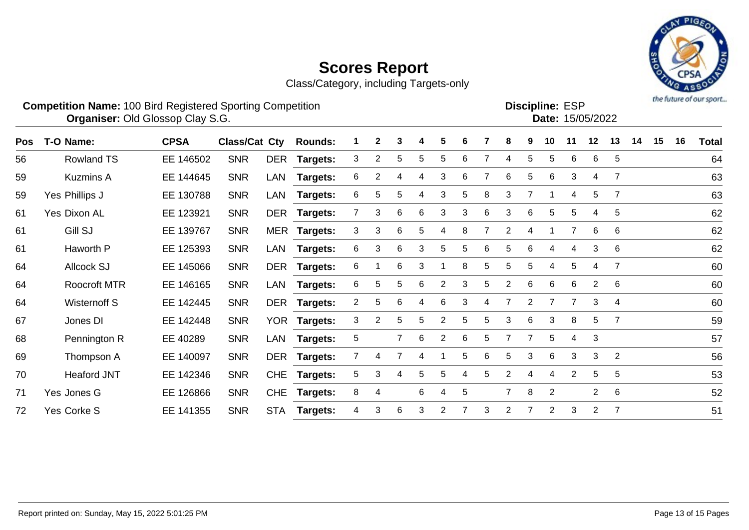Class/Category, including Targets-only



|            | <b>Competition Name: 100 Bird Registered Sporting Competition</b><br><b>Organiser: Old Glossop Clay S.G.</b> |             |                      |            |                 |                |   |                |    |                |   |   |                |   | <b>Discipline: ESP</b> |                | Date: 15/05/2022 |                |    |    |    | the future of our sport |
|------------|--------------------------------------------------------------------------------------------------------------|-------------|----------------------|------------|-----------------|----------------|---|----------------|----|----------------|---|---|----------------|---|------------------------|----------------|------------------|----------------|----|----|----|-------------------------|
| <b>Pos</b> | T-O Name:                                                                                                    | <b>CPSA</b> | <b>Class/Cat Cty</b> |            | <b>Rounds:</b>  |                | 2 | 3              | 4  | 5              | 6 |   | 8              | 9 | 10                     | 11             | 12               | 13             | 14 | 15 | 16 | <b>Total</b>            |
| 56         | <b>Rowland TS</b>                                                                                            | EE 146502   | <b>SNR</b>           | DER        | <b>Targets:</b> | 3              | 2 | 5              | 5. | 5              | 6 |   | 4              | 5 | 5.                     | 6              | 6                | 5              |    |    |    | 64                      |
| 59         | <b>Kuzmins A</b>                                                                                             | EE 144645   | <b>SNR</b>           | LAN        | Targets:        | 6              | 2 |                |    | 3              | 6 |   | 6              | 5 | 6                      | 3              | 4                | $\overline{7}$ |    |    |    | 63                      |
| 59         | Yes Phillips J                                                                                               | EE 130788   | <b>SNR</b>           | LAN        | Targets:        | 6              | 5 | 5              | 4  | 3              | 5 | 8 | 3              | 7 |                        | 4              | 5                | $\overline{7}$ |    |    |    | 63                      |
| 61         | <b>Yes Dixon AL</b>                                                                                          | EE 123921   | <b>SNR</b>           | DER        | Targets:        |                | 3 | 6              | 6  | 3              | 3 | 6 | 3              | 6 | 5                      | 5              | 4                | 5              |    |    |    | 62                      |
| 61         | Gill SJ                                                                                                      | EE 139767   | <b>SNR</b>           |            | MER Targets:    | 3              | 3 | 6              | 5  | 4              | 8 |   | $\overline{2}$ | 4 |                        | $\overline{7}$ | 6                | 6              |    |    |    | 62                      |
| 61         | Haworth P                                                                                                    | EE 125393   | <b>SNR</b>           | LAN        | Targets:        | 6              | 3 | 6              | 3  | 5              | 5 | 6 | 5              | 6 | 4                      | 4              | 3                | 6              |    |    |    | 62                      |
| 64         | <b>Allcock SJ</b>                                                                                            | EE 145066   | <b>SNR</b>           | DER        | Targets:        | 6              |   | 6              | 3  |                | 8 | 5 | 5              | 5 | 4                      | 5              | 4                | $\overline{7}$ |    |    |    | 60                      |
| 64         | <b>Roocroft MTR</b>                                                                                          | EE 146165   | <b>SNR</b>           | LAN        | Targets:        | 6              | 5 | 5              | 6  | $\overline{2}$ | 3 | 5 | 2              | 6 | 6                      | 6              | 2                | 6              |    |    |    | 60                      |
| 64         | Wisternoff S                                                                                                 | EE 142445   | <b>SNR</b>           | DER        | <b>Targets:</b> | $\overline{a}$ | 5 | 6              | 4  | 6              | 3 | 4 | 7              | 2 |                        | 7              | 3                | 4              |    |    |    | 60                      |
| 67         | Jones DI                                                                                                     | EE 142448   | <b>SNR</b>           | <b>YOR</b> | <b>Targets:</b> | 3              | 2 | 5              | 5. | $\overline{2}$ | 5 | 5 | 3              | 6 | 3                      | 8              | 5                | $\overline{7}$ |    |    |    | 59                      |
| 68         | Pennington R                                                                                                 | EE 40289    | <b>SNR</b>           | LAN        | Targets:        | 5              |   | $\overline{7}$ | 6  | $\overline{2}$ | 6 | 5 | $\overline{7}$ | 7 | 5                      | 4              | 3                |                |    |    |    | 57                      |
| 69         | Thompson A                                                                                                   | EE 140097   | <b>SNR</b>           | <b>DER</b> | <b>Targets:</b> |                | 4 |                | 4  |                | 5 | 6 | 5              | 3 | 6                      | 3              | 3                | 2              |    |    |    | 56                      |
| 70         | <b>Heaford JNT</b>                                                                                           | EE 142346   | <b>SNR</b>           | <b>CHE</b> | Targets:        | 5              | 3 | 4              | 5  | 5              | 4 | 5 | 2              | 4 | 4                      | $\overline{2}$ | 5                | 5              |    |    |    | 53                      |
| 71         | Yes Jones G                                                                                                  | EE 126866   | <b>SNR</b>           | <b>CHE</b> | Targets:        | 8              | 4 |                | 6  | 4              | 5 |   | $\overline{7}$ | 8 | 2                      |                | $\overline{2}$   | 6              |    |    |    | 52                      |

Yes Corke S EE 141355 SNR STA **Targets:** 4 3 6 3 2 7 3 2 7 2 3 2 7 51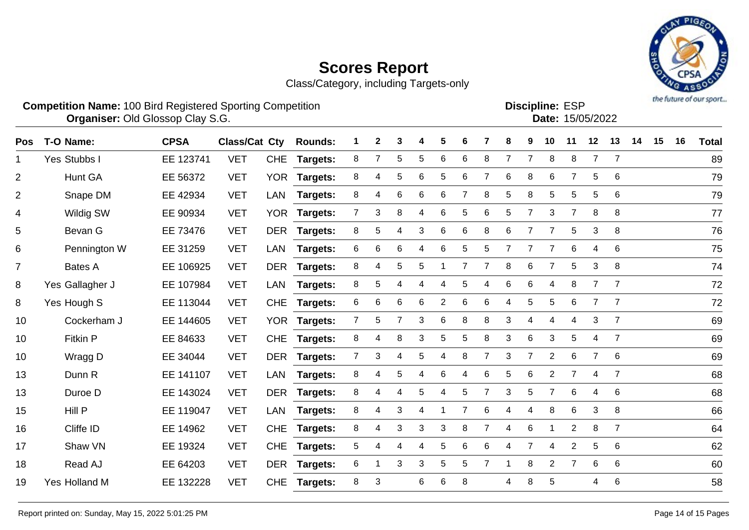

| <b>Competition Name: 100 Bird Registered Sporting Competition</b> |                                         |                       |  |  |  |        |  | <b>Discipline: ESP</b> |  |
|-------------------------------------------------------------------|-----------------------------------------|-----------------------|--|--|--|--------|--|------------------------|--|
|                                                                   | <b>Organiser: Old Glossop Clay S.G.</b> |                       |  |  |  |        |  | Date: 15/05/2022       |  |
| <b>Doe</b> T <sub>-</sub> O Namo:                                 | CPSA                                    | Clace/Cat Cty Rounder |  |  |  | 456789 |  | 10 11 12 11            |  |

| Pos            | T-O Name:            | <b>CPSA</b> | <b>Class/Cat Cty</b> |            | <b>Rounds:</b>  |                | $\mathbf{2}$ | 3 | 4 | 5               |                |                | 8              | 9              | 10             | 11             | 12             | 13              | 14 | 15 | 16 | <b>Total</b> |
|----------------|----------------------|-------------|----------------------|------------|-----------------|----------------|--------------|---|---|-----------------|----------------|----------------|----------------|----------------|----------------|----------------|----------------|-----------------|----|----|----|--------------|
| 1              | Yes Stubbs I         | EE 123741   | <b>VET</b>           | <b>CHE</b> | <b>Targets:</b> | 8              |              | 5 | 5 | 6               | 6              | 8              |                | 7              | 8              | 8              | $\overline{7}$ | $\overline{7}$  |    |    |    | 89           |
| $\overline{2}$ | Hunt GA              | EE 56372    | <b>VET</b>           | <b>YOR</b> | Targets:        | 8              | 4            | 5 | 6 | 5               | 6              | 7              | 6              | 8              | 6              | $\overline{7}$ | 5              | 6               |    |    |    | 79           |
| $\overline{2}$ | Snape DM             | EE 42934    | <b>VET</b>           | <b>LAN</b> | Targets:        | 8              | 4            | 6 | 6 | 6               | 7              | 8              | 5              | 8              | 5              | 5              | 5              | 6               |    |    |    | 79           |
| 4              | Wildig SW            | EE 90934    | <b>VET</b>           |            | YOR Targets:    | $\overline{7}$ | 3            | 8 | 4 | $6\phantom{1}6$ | 5              | 6              | 5              | 7              | 3              | $\overline{7}$ | 8              | 8               |    |    |    | 77           |
| 5              | Bevan G              | EE 73476    | <b>VET</b>           |            | DER Targets:    | 8              | $\sqrt{5}$   | 4 | 3 | $\,6$           | $\,6$          | 8              | $\,6$          | $\overline{7}$ | $\overline{7}$ | 5              | $\sqrt{3}$     | 8               |    |    |    | 76           |
| 6              | Pennington W         | EE 31259    | <b>VET</b>           | <b>LAN</b> | Targets:        | 6              | 6            | 6 | 4 | 6               | 5              | 5              | $\overline{7}$ | $\overline{7}$ | $\overline{7}$ | 6              | 4              | 6               |    |    |    | 75           |
| $\overline{7}$ | Bates A              | EE 106925   | <b>VET</b>           | DER        | <b>Targets:</b> | 8              | 4            | 5 | 5 |                 | $\overline{7}$ | $\overline{7}$ | 8              | 6              | $\overline{7}$ | 5              | 3              | 8               |    |    |    | 74           |
| 8              | Yes Gallagher J      | EE 107984   | <b>VET</b>           | LAN        | <b>Targets:</b> | 8              | 5            | 4 | 4 | 4               | 5              | 4              | 6              | 6              | 4              | 8              | $\overline{7}$ | $\overline{7}$  |    |    |    | 72           |
| 8              | Yes Hough S          | EE 113044   | <b>VET</b>           | <b>CHE</b> | <b>Targets:</b> | 6              | 6            | 6 | 6 | $\overline{2}$  | 6              | 6              | 4              | 5              | 5              | 6              | $\overline{7}$ | $\overline{7}$  |    |    |    | 72           |
| 10             | Cockerham J          | EE 144605   | <b>VET</b>           |            | YOR Targets:    | $\overline{7}$ | $\sqrt{5}$   | 7 | 3 | 6               | 8              | 8              | 3              | 4              | 4              | 4              | 3              | $\overline{7}$  |    |    |    | 69           |
| 10             | Fitkin P             | EE 84633    | <b>VET</b>           | <b>CHE</b> | Targets:        | 8              | 4            | 8 | 3 | 5               | 5              | 8              | 3              | 6              | 3              | 5              | 4              | $\overline{7}$  |    |    |    | 69           |
| 10             | Wragg D              | EE 34044    | <b>VET</b>           | <b>DER</b> | Targets:        | $\overline{7}$ | 3            | 4 | 5 | 4               | 8              | $\overline{7}$ | 3              | 7              | $\overline{2}$ | 6              | $\overline{7}$ | 6               |    |    |    | 69           |
| 13             | Dunn R               | EE 141107   | <b>VET</b>           | LAN        | Targets:        | 8              | 4            | 5 | 4 | 6               | 4              | 6              | 5              | 6              | $\overline{2}$ | $\overline{7}$ | 4              | $\overline{7}$  |    |    |    | 68           |
| 13             | Duroe D              | EE 143024   | <b>VET</b>           |            | DER Targets:    | 8              | 4            | 4 | 5 | 4               | 5              | $\overline{7}$ | 3              | 5              | $\overline{7}$ | 6              | 4              | 6               |    |    |    | 68           |
| 15             | Hill P               | EE 119047   | <b>VET</b>           | <b>LAN</b> | <b>Targets:</b> | 8              | 4            | 3 | 4 |                 | 7              | 6              | 4              | 4              | 8              | 6              | 3              | 8               |    |    |    | 66           |
| 16             | Cliffe ID            | EE 14962    | <b>VET</b>           | <b>CHE</b> | <b>Targets:</b> | 8              | 4            | 3 | 3 | 3               | 8              | $\overline{7}$ | 4              | 6              |                | $\overline{2}$ | 8              | $\overline{7}$  |    |    |    | 64           |
| 17             | Shaw VN              | EE 19324    | <b>VET</b>           | <b>CHE</b> | Targets:        | 5              | 4            | 4 | 4 | 5               | 6              | 6              | 4              | $\overline{7}$ | 4              | $\mathbf{2}$   | 5              | 6               |    |    |    | 62           |
| 18             | Read AJ              | EE 64203    | <b>VET</b>           |            | DER Targets:    | 6              |              | 3 | 3 | 5               | 5              | $\overline{7}$ | -1             | 8              | $\overline{2}$ | $\overline{7}$ | 6              | 6               |    |    |    | 60           |
| 19             | <b>Yes Holland M</b> | EE 132228   | <b>VET</b>           | <b>CHE</b> | <b>Targets:</b> | 8              | 3            |   | 6 | 6               | 8              |                | 4              | 8              | 5              |                | 4              | $6\phantom{1}6$ |    |    |    | 58           |